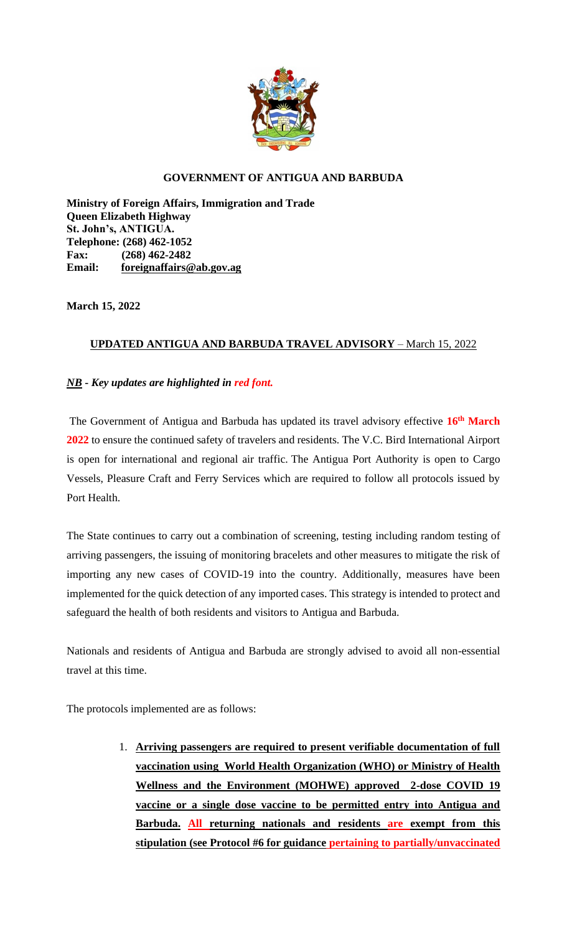

## **GOVERNMENT OF ANTIGUA AND BARBUDA**

**Ministry of Foreign Affairs, Immigration and Trade Queen Elizabeth Highway St. John's, ANTIGUA. Telephone: (268) 462-1052 Fax: (268) 462-2482 Email: [foreignaffairs@ab.gov.ag](mailto:foreignaffairs@ab.gov.ag)**

**March 15, 2022**

## **UPDATED ANTIGUA AND BARBUDA TRAVEL ADVISORY** – March 15, 2022

## *NB* **-** *Key updates are highlighted in red font.*

The Government of Antigua and Barbuda has updated its travel advisory effective **16th March 2022** to ensure the continued safety of travelers and residents. The V.C. Bird International Airport is open for international and regional air traffic. The Antigua Port Authority is open to Cargo Vessels, Pleasure Craft and Ferry Services which are required to follow all protocols issued by Port Health.

The State continues to carry out a combination of screening, testing including random testing of arriving passengers, the issuing of monitoring bracelets and other measures to mitigate the risk of importing any new cases of COVID-19 into the country. Additionally, measures have been implemented for the quick detection of any imported cases. This strategy is intended to protect and safeguard the health of both residents and visitors to Antigua and Barbuda.

Nationals and residents of Antigua and Barbuda are strongly advised to avoid all non-essential travel at this time.

The protocols implemented are as follows:

1. **Arriving passengers are required to present verifiable documentation of full vaccination using World Health Organization (WHO) or Ministry of Health Wellness and the Environment (MOHWE) approved 2-dose COVID 19 vaccine or a single dose vaccine to be permitted entry into Antigua and Barbuda. All returning nationals and residents are exempt from this stipulation (see Protocol #6 for guidance pertaining to partially/unvaccinated**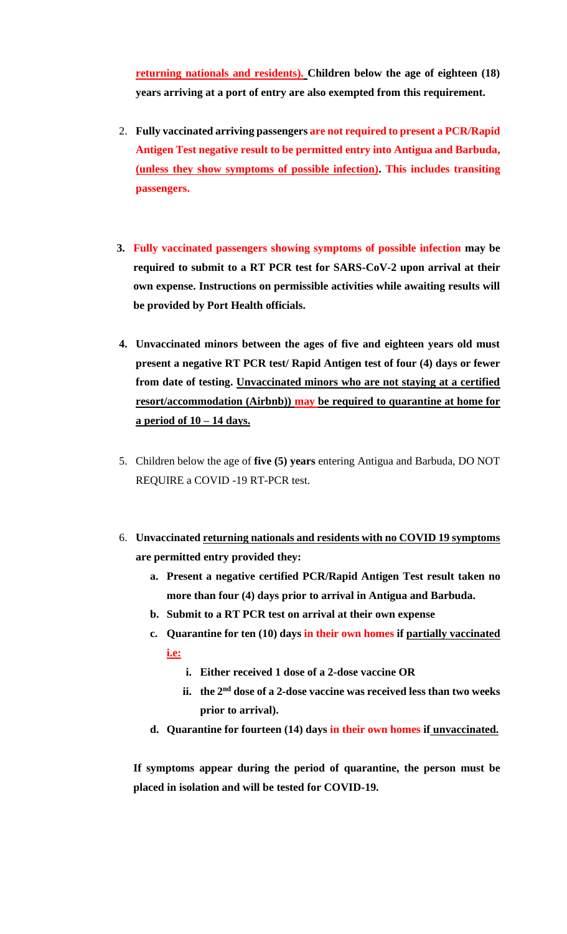**returning nationals and residents). Children below the age of eighteen (18) years arriving at a port of entry are also exempted from this requirement.** 

- 2. **Fully vaccinated arriving passengers are not required to present a PCR/Rapid Antigen Test negative result to be permitted entry into Antigua and Barbuda, (unless they show symptoms of possible infection). This includes transiting passengers.**
- **3. Fully vaccinated passengers showing symptoms of possible infection may be required to submit to a RT PCR test for SARS-CoV-2 upon arrival at their own expense. Instructions on permissible activities while awaiting results will be provided by Port Health officials.**
- **4. Unvaccinated minors between the ages of five and eighteen years old must present a negative RT PCR test/ Rapid Antigen test of four (4) days or fewer from date of testing. Unvaccinated minors who are not staying at a certified resort/accommodation (Airbnb)) may be required to quarantine at home for a period of 10 – 14 days.**
- 5. Children below the age of **five (5) years** entering Antigua and Barbuda, DO NOT REQUIRE a COVID -19 RT-PCR test.
- 6. **Unvaccinated returning nationals and residents with no COVID 19 symptoms are permitted entry provided they:**
	- **a. Present a negative certified PCR/Rapid Antigen Test result taken no more than four (4) days prior to arrival in Antigua and Barbuda.**
	- **b. Submit to a RT PCR test on arrival at their own expense**
	- **c. Quarantine for ten (10) days in their own homes if partially vaccinated i.e:**
		- **i. Either received 1 dose of a 2-dose vaccine OR**
		- **ii. the 2nd dose of a 2-dose vaccine was received less than two weeks prior to arrival).**
	- **d. Quarantine for fourteen (14) days in their own homes if unvaccinated.**

**If symptoms appear during the period of quarantine, the person must be placed in isolation and will be tested for COVID-19.**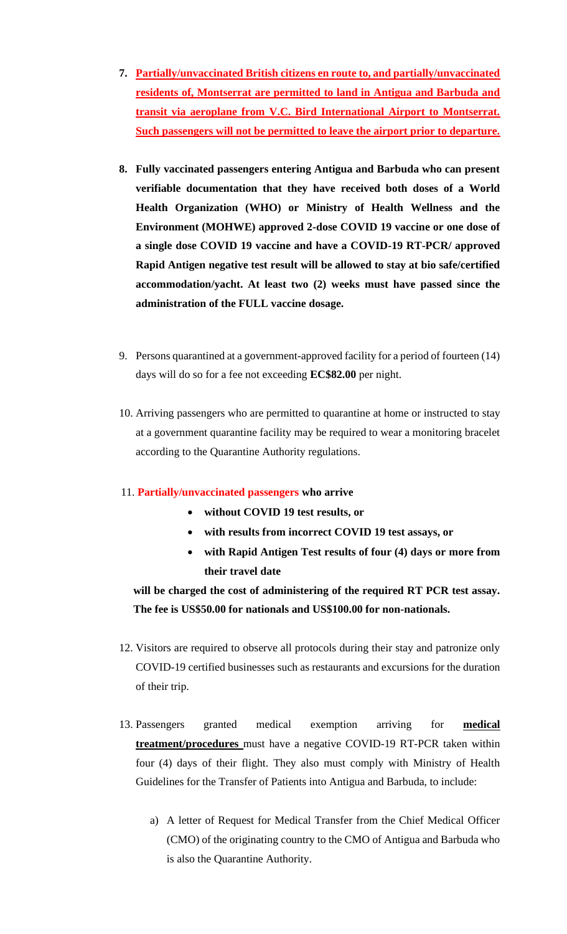- **7. Partially/unvaccinated British citizens en route to, and partially/unvaccinated residents of, Montserrat are permitted to land in Antigua and Barbuda and transit via aeroplane from V.C. Bird International Airport to Montserrat. Such passengers will not be permitted to leave the airport prior to departure.**
- **8. Fully vaccinated passengers entering Antigua and Barbuda who can present verifiable documentation that they have received both doses of a World Health Organization (WHO) or Ministry of Health Wellness and the Environment (MOHWE) approved 2-dose COVID 19 vaccine or one dose of a single dose COVID 19 vaccine and have a COVID-19 RT-PCR/ approved Rapid Antigen negative test result will be allowed to stay at bio safe/certified accommodation/yacht. At least two (2) weeks must have passed since the administration of the FULL vaccine dosage.**
- 9. Persons quarantined at a government-approved facility for a period of fourteen (14) days will do so for a fee not exceeding **EC\$82.00** per night.
- 10. Arriving passengers who are permitted to quarantine at home or instructed to stay at a government quarantine facility may be required to wear a monitoring bracelet according to the Quarantine Authority regulations.

## 11. **Partially/unvaccinated passengers who arrive**

- **without COVID 19 test results, or**
- **with results from incorrect COVID 19 test assays, or**
- **with Rapid Antigen Test results of four (4) days or more from their travel date**

# **will be charged the cost of administering of the required RT PCR test assay. The fee is US\$50.00 for nationals and US\$100.00 for non-nationals.**

- 12. Visitors are required to observe all protocols during their stay and patronize only COVID-19 certified businesses such as restaurants and excursions for the duration of their trip.
- 13. Passengers granted medical exemption arriving for **medical treatment/procedures** must have a negative COVID-19 RT-PCR taken within four (4) days of their flight. They also must comply with Ministry of Health Guidelines for the Transfer of Patients into Antigua and Barbuda, to include:
	- a) A letter of Request for Medical Transfer from the Chief Medical Officer (CMO) of the originating country to the CMO of Antigua and Barbuda who is also the Quarantine Authority.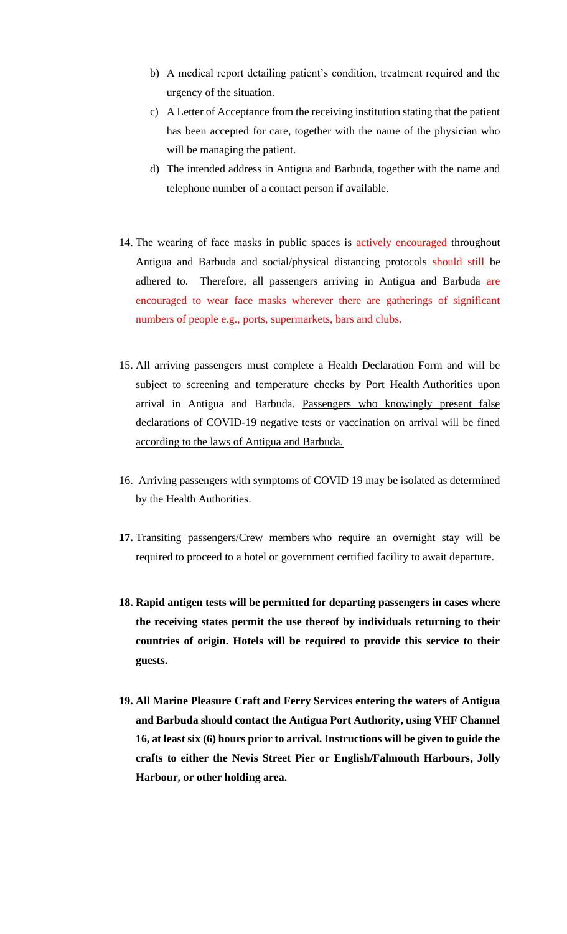- b) A medical report detailing patient's condition, treatment required and the urgency of the situation.
- c) A Letter of Acceptance from the receiving institution stating that the patient has been accepted for care, together with the name of the physician who will be managing the patient.
- d) The intended address in Antigua and Barbuda, together with the name and telephone number of a contact person if available.
- 14. The wearing of face masks in public spaces is actively encouraged throughout Antigua and Barbuda and social/physical distancing protocols should still be adhered to. Therefore, all passengers arriving in Antigua and Barbuda are encouraged to wear face masks wherever there are gatherings of significant numbers of people e.g., ports, supermarkets, bars and clubs.
- 15. All arriving passengers must complete a Health Declaration Form and will be subject to screening and temperature checks by Port Health Authorities upon arrival in Antigua and Barbuda. Passengers who knowingly present false declarations of COVID-19 negative tests or vaccination on arrival will be fined according to the laws of Antigua and Barbuda.
- 16. Arriving passengers with symptoms of COVID 19 may be isolated as determined by the Health Authorities.
- **17.** Transiting passengers/Crew members who require an overnight stay will be required to proceed to a hotel or government certified facility to await departure.
- **18. Rapid antigen tests will be permitted for departing passengers in cases where the receiving states permit the use thereof by individuals returning to their countries of origin. Hotels will be required to provide this service to their guests.**
- **19. All Marine Pleasure Craft and Ferry Services entering the waters of Antigua and Barbuda should contact the Antigua Port Authority, using VHF Channel 16, at least six (6) hours prior to arrival. Instructions will be given to guide the crafts to either the Nevis Street Pier or English/Falmouth Harbours, Jolly Harbour, or other holding area.**